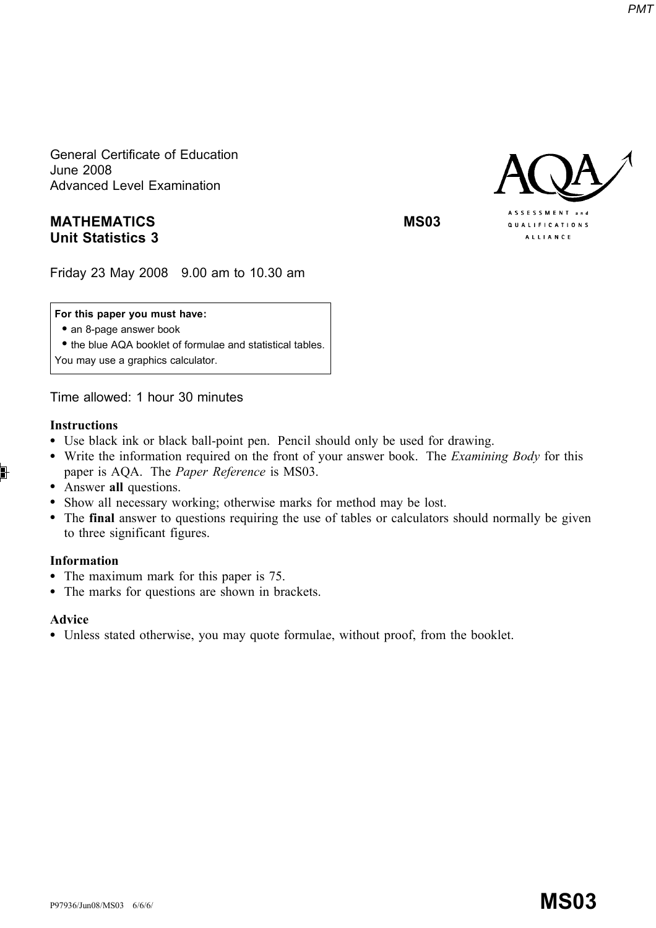General Certificate of Education June 2008 Advanced Level Examination

# MATHEMATICS MATHEMATICS Unit Statistics 3

Friday 23 May 2008 9.00 am to 10.30 am

### For this paper you must have:

• an 8-page answer book

\* the blue AQA booklet of formulae and statistical tables. You may use a graphics calculator.

Time allowed: 1 hour 30 minutes

## Instructions

- \* Use black ink or black ball-point pen. Pencil should only be used for drawing.
- Write the information required on the front of your answer book. The *Examining Body* for this paper is AQA. The Paper Reference is MS03.
- Answer all questions.
- \* Show all necessary working; otherwise marks for method may be lost.
- The final answer to questions requiring the use of tables or calculators should normally be given to three significant figures.

## Information

- The maximum mark for this paper is 75.
- The marks for questions are shown in brackets.

#### Advice

\* Unless stated otherwise, you may quote formulae, without proof, from the booklet.

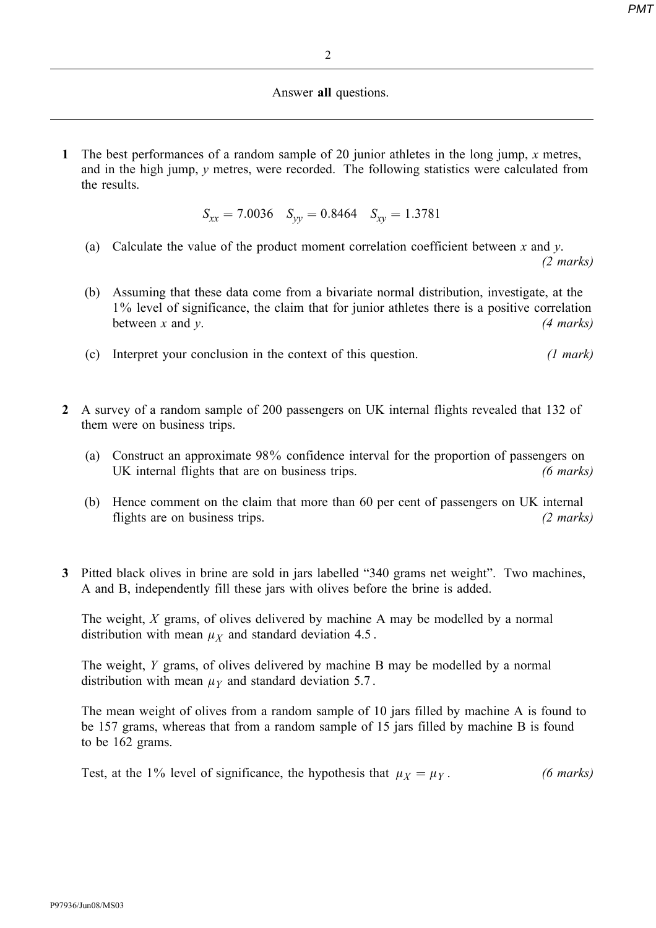#### Answer all questions.

1 The best performances of a random sample of 20 junior athletes in the long jump, x metres, and in the high jump, y metres, were recorded. The following statistics were calculated from the results.

 $S_{xx} = 7.0036 \quad S_{yy} = 0.8464 \quad S_{xy} = 1.3781$ 

(a) Calculate the value of the product moment correlation coefficient between  $x$  and  $y$ .

(2 marks)

- (b) Assuming that these data come from a bivariate normal distribution, investigate, at the 1% level of significance, the claim that for junior athletes there is a positive correlation between x and y. (4 marks)
- (c) Interpret your conclusion in the context of this question.  $(1 mark)$
- 2 A survey of a random sample of 200 passengers on UK internal flights revealed that 132 of them were on business trips.
	- (a) Construct an approximate 98% confidence interval for the proportion of passengers on UK internal flights that are on business trips. (6 marks)
	- (b) Hence comment on the claim that more than 60 per cent of passengers on UK internal flights are on business trips. (2 marks)
- 3 Pitted black olives in brine are sold in jars labelled "340 grams net weight". Two machines, A and B, independently fill these jars with olives before the brine is added.

The weight, X grams, of olives delivered by machine A may be modelled by a normal distribution with mean  $\mu_X$  and standard deviation 4.5.

The weight, Y grams, of olives delivered by machine B may be modelled by a normal distribution with mean  $\mu_Y$  and standard deviation 5.7.

The mean weight of olives from a random sample of 10 jars filled by machine A is found to be 157 grams, whereas that from a random sample of 15 jars filled by machine B is found to be 162 grams.

Test, at the 1% level of significance, the hypothesis that  $\mu_X = \mu_Y$ . (6 marks)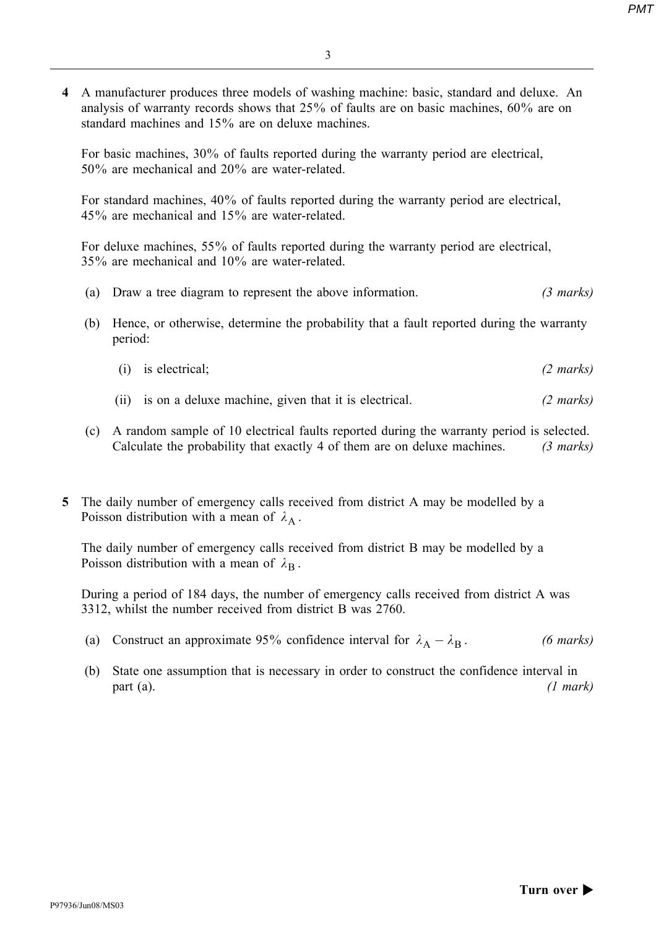4 A manufacturer produces three models of washing machine: basic, standard and deluxe. An analysis of warranty records shows that 25% of faults are on basic machines, 60% are on standard machines and 15% are on deluxe machines.

For basic machines, 30% of faults reported during the warranty period are electrical, 50% are mechanical and 20% are water-related.

For standard machines, 40% of faults reported during the warranty period are electrical, 45% are mechanical and 15% are water-related.

For deluxe machines, 55% of faults reported during the warranty period are electrical, 35% are mechanical and 10% are water-related.

- (a) Draw a tree diagram to represent the above information. (3 marks)
- (b) Hence, or otherwise, determine the probability that a fault reported during the warranty period:
	- (i) is electrical; (2 marks)
	- (ii) is on a deluxe machine, given that it is electrical. (2 marks)
- (c) A random sample of 10 electrical faults reported during the warranty period is selected. Calculate the probability that exactly 4 of them are on deluxe machines. (3 marks)
- 5 The daily number of emergency calls received from district A may be modelled by a Poisson distribution with a mean of  $\lambda_A$ .

The daily number of emergency calls received from district B may be modelled by a Poisson distribution with a mean of  $\lambda_B$ .

During a period of 184 days, the number of emergency calls received from district A was 3312, whilst the number received from district B was 2760.

- (a) Construct an approximate 95% confidence interval for  $\lambda_A \lambda_B$ . (6 marks)
- (b) State one assumption that is necessary in order to construct the confidence interval in  $part (a).$  (1 mark)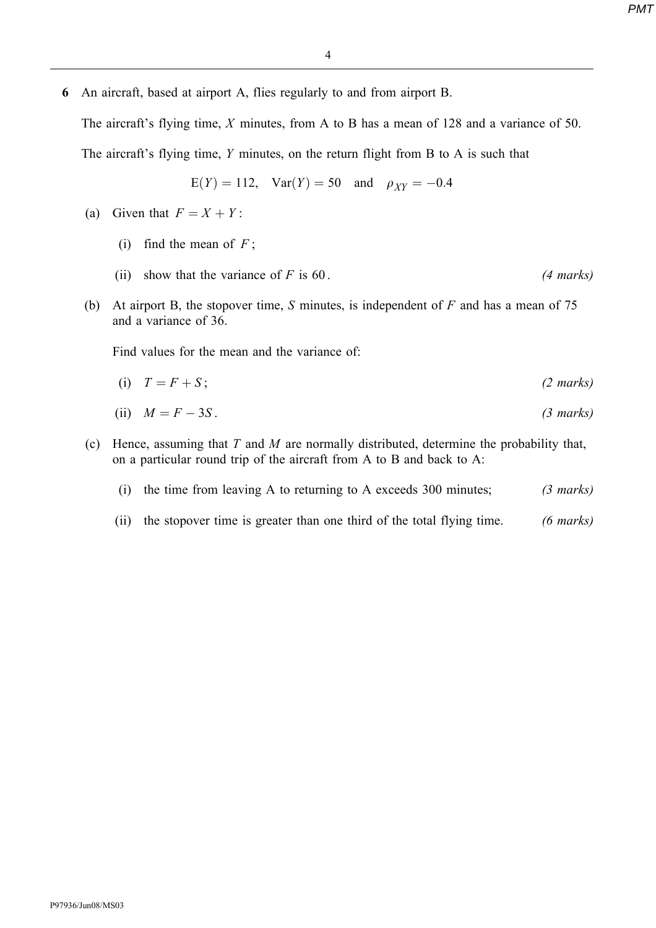6 An aircraft, based at airport A, flies regularly to and from airport B.

The aircraft's flying time, X minutes, from A to B has a mean of 128 and a variance of 50.

The aircraft's flying time, Y minutes, on the return flight from B to A is such that

$$
E(Y) = 112
$$
,  $Var(Y) = 50$  and  $\rho_{XY} = -0.4$ 

- (a) Given that  $F = X + Y$ :
	- (i) find the mean of  $F$ ;
	- (ii) show that the variance of F is  $60$ . (4 marks)
- (b) At airport B, the stopover time, S minutes, is independent of  $F$  and has a mean of 75 and a variance of 36.

Find values for the mean and the variance of:

$$
(i) \quad T = F + S; \tag{2 marks}
$$

(ii) 
$$
M = F - 3S
$$
. (3 marks)

(c) Hence, assuming that  $T$  and  $M$  are normally distributed, determine the probability that, on a particular round trip of the aircraft from A to B and back to A:

|  |  | (i) the time from leaving A to returning to A exceeds 300 minutes; | $(3 \text{ marks})$ |
|--|--|--------------------------------------------------------------------|---------------------|
|  |  |                                                                    |                     |

(ii) the stopover time is greater than one third of the total flying time. (6 marks)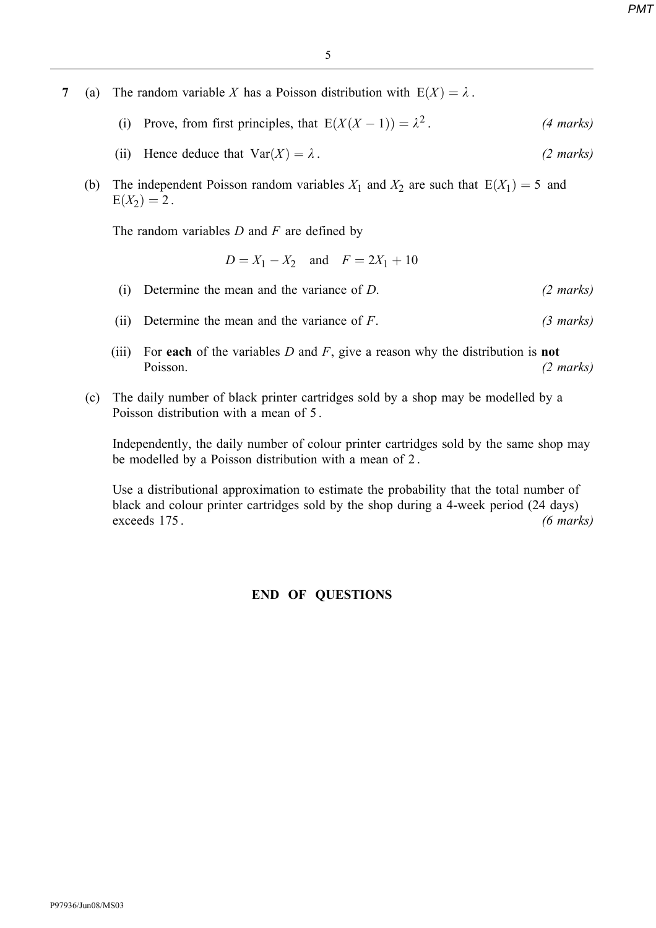- 7 (a) The random variable X has a Poisson distribution with  $E(X) = \lambda$ .
	- (i) Prove, from first principles, that  $E(X(X-1)) = \lambda^2$ . (4 marks)
	- (ii) Hence deduce that  $Var(X) = \lambda$ . (2 marks)
	- (b) The independent Poisson random variables  $X_1$  and  $X_2$  are such that  $E(X_1) = 5$  and  $E(X_2) = 2$ .

The random variables  $D$  and  $F$  are defined by

$$
D = X_1 - X_2
$$
 and  $F = 2X_1 + 10$ 

- (i) Determine the mean and the variance of  $D$ . (2 marks)
- (ii) Determine the mean and the variance of  $F$ . (3 marks)
- (iii) For each of the variables  $D$  and  $F$ , give a reason why the distribution is **not** Poisson. (2 marks)
- (c) The daily number of black printer cartridges sold by a shop may be modelled by a Poisson distribution with a mean of 5 .

Independently, the daily number of colour printer cartridges sold by the same shop may be modelled by a Poisson distribution with a mean of 2 .

Use a distributional approximation to estimate the probability that the total number of black and colour printer cartridges sold by the shop during a 4-week period (24 days) exceeds 175. (6 marks)

## END OF QUESTIONS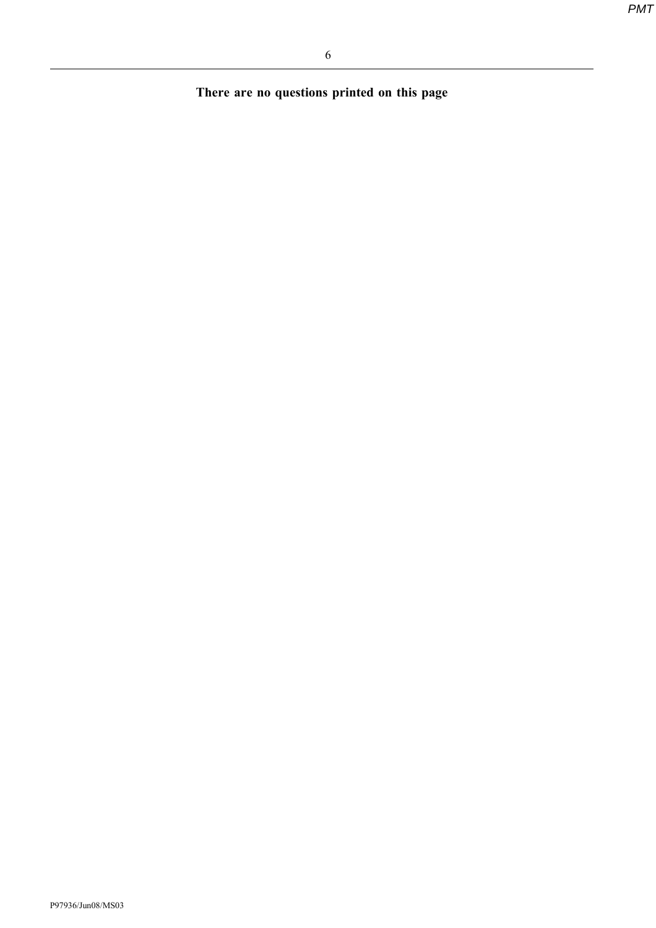There are no questions printed on this page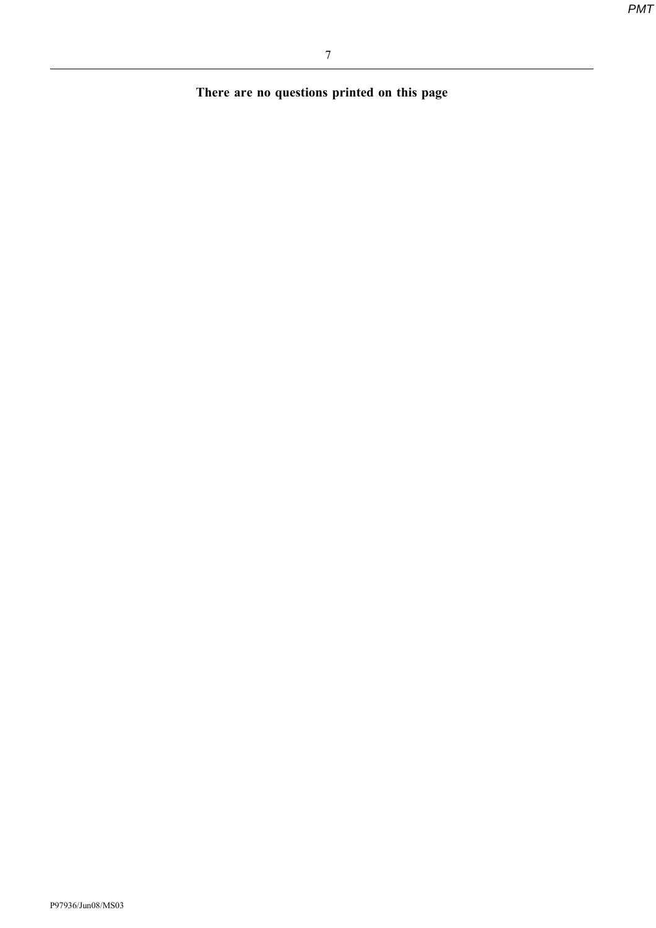There are no questions printed on this page